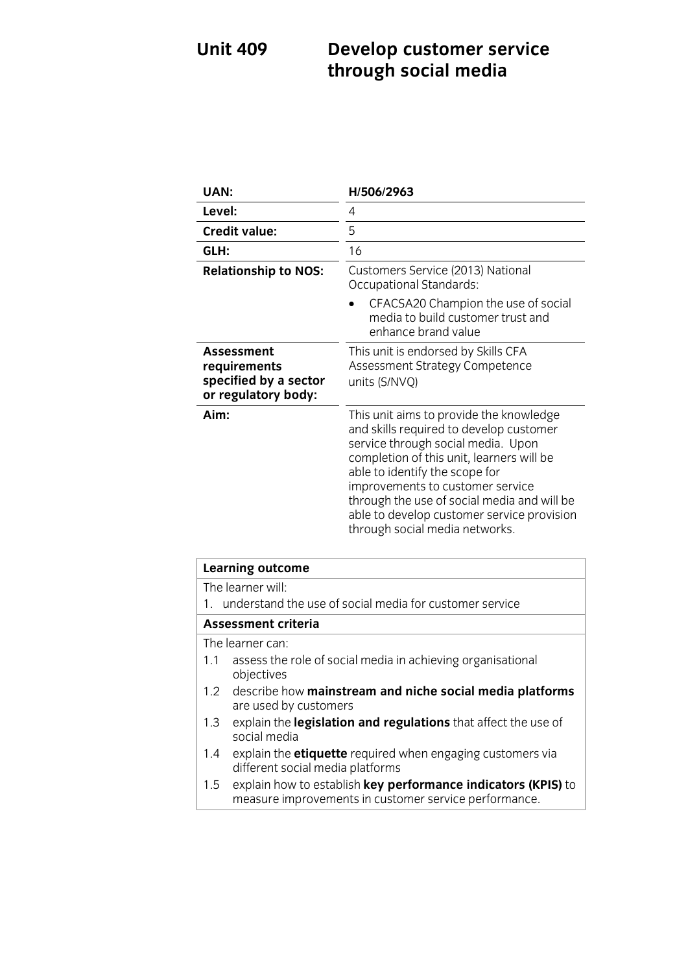## **Unit 109 Develop customer service in through social media through social media**

| UAN:                                                                              | H/506/2963                                                                                                                                                                                                                                                                                                                                                                 |
|-----------------------------------------------------------------------------------|----------------------------------------------------------------------------------------------------------------------------------------------------------------------------------------------------------------------------------------------------------------------------------------------------------------------------------------------------------------------------|
| Level:                                                                            | 4                                                                                                                                                                                                                                                                                                                                                                          |
| <b>Credit value:</b>                                                              | 5                                                                                                                                                                                                                                                                                                                                                                          |
| GLH:                                                                              | 16                                                                                                                                                                                                                                                                                                                                                                         |
| <b>Relationship to NOS:</b>                                                       | Customers Service (2013) National<br><b>Occupational Standards:</b>                                                                                                                                                                                                                                                                                                        |
|                                                                                   | CFACSA20 Champion the use of social<br>media to build customer trust and<br>enhance brand value                                                                                                                                                                                                                                                                            |
| <b>Assessment</b><br>requirements<br>specified by a sector<br>or regulatory body: | This unit is endorsed by Skills CFA<br>Assessment Strategy Competence<br>units (S/NVQ)                                                                                                                                                                                                                                                                                     |
| Aim:                                                                              | This unit aims to provide the knowledge<br>and skills required to develop customer<br>service through social media. Upon<br>completion of this unit, learners will be<br>able to identify the scope for<br>improvements to customer service<br>through the use of social media and will be<br>able to develop customer service provision<br>through social media networks. |
| Learning outcome                                                                  |                                                                                                                                                                                                                                                                                                                                                                            |

| <b>Learning outcome</b>    |                                                                                                                        |
|----------------------------|------------------------------------------------------------------------------------------------------------------------|
|                            | The learner will:                                                                                                      |
|                            | 1. understand the use of social media for customer service                                                             |
| <b>Assessment criteria</b> |                                                                                                                        |
|                            | The learner can:                                                                                                       |
| 1.1                        | assess the role of social media in achieving organisational<br>objectives                                              |
|                            | 1.2 describe how mainstream and niche social media platforms<br>are used by customers                                  |
| 1.3                        | explain the legislation and regulations that affect the use of<br>social media                                         |
| 1.4                        | explain the <b>etiquette</b> required when engaging customers via<br>different social media platforms                  |
| 1.5                        | explain how to establish key performance indicators (KPIS) to<br>measure improvements in customer service performance. |

measure improvements in customer service performance.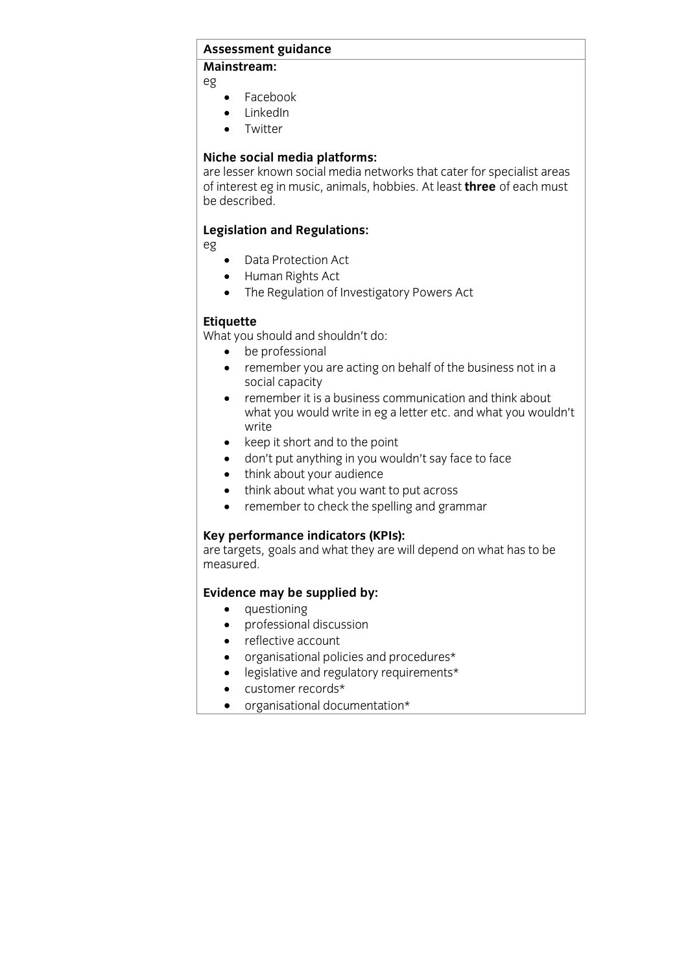## **Assessment guidance**

**Mainstream:** eg

- Facebook<br>• LinkedIn
- LinkedIn<br>• Twitter
- Twitter

**Niche social media platforms:**  of interest eg in music, animals, hobbies. At least three of each must be described.

## **Legislation and Regulations: Legislation and Regulations:**

eg

- Data Protection Act
- Human Rights Act<br>• The Regulation of I
- The Regulation of Investigatory Powers Act

**Etiquette**<br>What you should and shouldn't do:

- $\bullet$  be professional • be professional<br>• semember vous
- remember you are acting on behalf of the business not in a<br>social capacity
- remember it is a business communication and think about<br>what you would write in eg a letter etc, and what you would write in equal wouldn't write in equal  $\sim$  you wouldn't you wouldn't you would not you wouldn't you would not
- keep it short and to the point<br>• don't put anything in you would
- don't put anything in you wouldn't say face to face
- think about your audience
- think about what you want to put across
- remember to check the spelling and grammar

**Key performance indicators (KPIs): Also performance indicators (KPIs):** are targets, goals and what they are will depend on what has to be measured. measured.

- 
- **questioning**<br>• **professional discussion**  professional discussion
	- reflective account
	- organisational policies and procedures\*
	- legislative and regulatory requirements\*
	- $\bullet$  customer records\*<br> $\bullet$  organisational docu
	- organisational documentation\*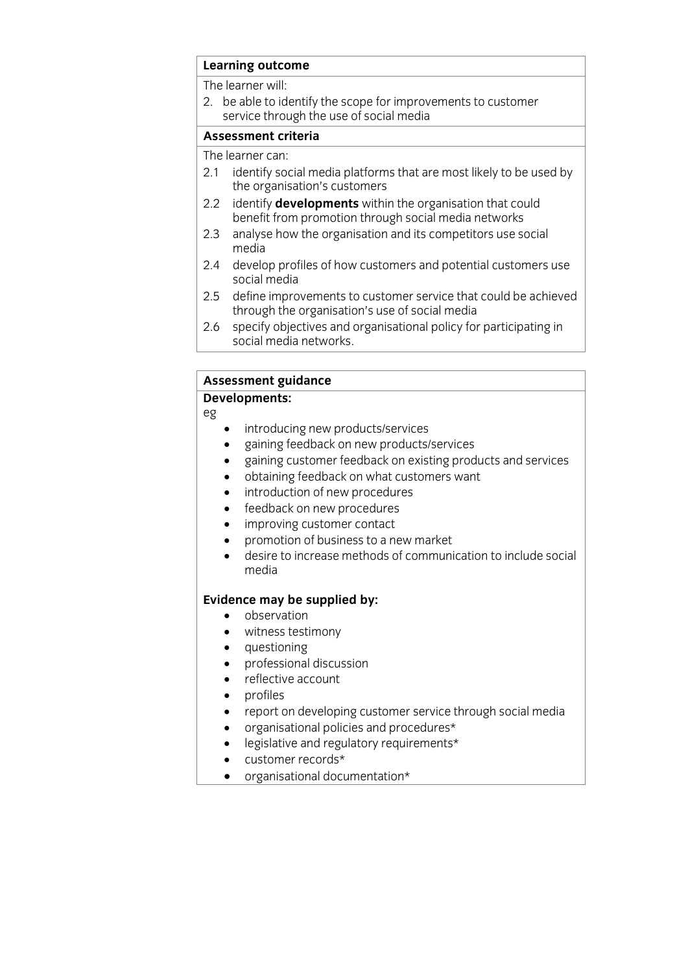## **Learning outcome**<br>The learner will:

2. be able to identify the scope for improvements to customer service through the use of social media

## Assessment criteria

The learner can:

- 2.1 identify social media platforms that are most likely to be used by the organisation's customers
- 2.2 identify **developments** within the organisation that could benefit from promotion through social media networks
- $2.3$ analyse how the organisation and its competitors use social  $\overline{\mathsf{media}}$  and its computation and its computation and its computation and its computation  $\overline{\mathsf{u}}$
- 2.4 develop profiles of how customers and potential customers use social media
- 2.5 define improvements to customer service that could be achieved through the organisation's use of social media
- $2.6$ specify objectives and organisational policy for participating in social media networks. social media networks.

# **Assessment guidance**

**Developments:** eg

- introducing new products/services
- gaining feedback on new products/services
- gaining customer feedback on existing products and services
- obtaining feedback on what customers want
- introduction of new procedures
- feedback on new procedures<br>• improving customer contact
- improving customer contact
- promotion of business to a new market
- desire to increase methods of communication to include social

- observation<br>• witness testimony
	- witness testimony
	- questioning
	- professional discussion<br>• reflective account
	- reflective account<br>• profiles
	- profiles
	- report on developing customer service through social media<br>• organisational policies and procedures\*
	- organisational policies and procedures\*<br>• legislative and regulatory requirements\*
	- legislative and regulatory requirements\*<br>• customer records\*
	- customer records\*<br>• organisational docu
	- organisational documentation\*